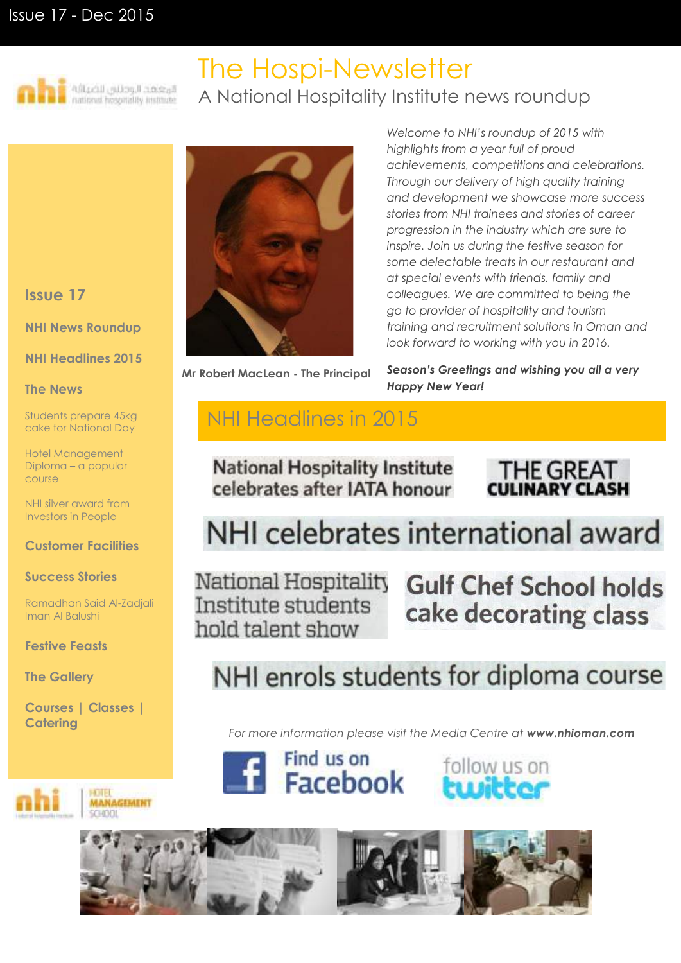## Issue 17 - Dec 2015



## The Hospi-Newsletter A National Hospitality Institute news roundup

### **Issue 17**

**NHI News Roundup**

#### **NHI Headlines 2015**

#### **The News**

Students prepare 45kg cake for National Day

Hotel Management Diploma – a popular course

NHI silver award from Investors in People

#### **Customer Facilities**

#### **Success Stories**

Ramadhan Said Al-Zadjali Iman Al Balushi

**Festive Feasts**

**The Gallery**

ורו

**Courses | Classes | Catering**

> **AANAGEMENT SCENDITI**



**Mr Robert MacLean - The Principal**

*Welcome to NHI's roundup of 2015 with highlights from a year full of proud achievements, competitions and celebrations. Through our delivery of high quality training and development we showcase more success stories from NHI trainees and stories of career progression in the industry which are sure to inspire. Join us during the festive season for some delectable treats in our restaurant and at special events with friends, family and colleagues. We are committed to being the go to provider of hospitality and tourism training and recruitment solutions in Oman and look forward to working with you in 2016.*

*Season's Greetings and wishing you all a very Happy New Year!*

## NHI Headlines in 2015

## **National Hospitality Institute** celebrates after IATA honour



## NHI celebrates international award

National Hospitality Institute students hold talent show

**Gulf Chef School holds** cake decorating class

## NHI enrols students for diploma course

*For more information please visit the Media Centre at [www.nhioman.com](http://www.nhioman.com/)*







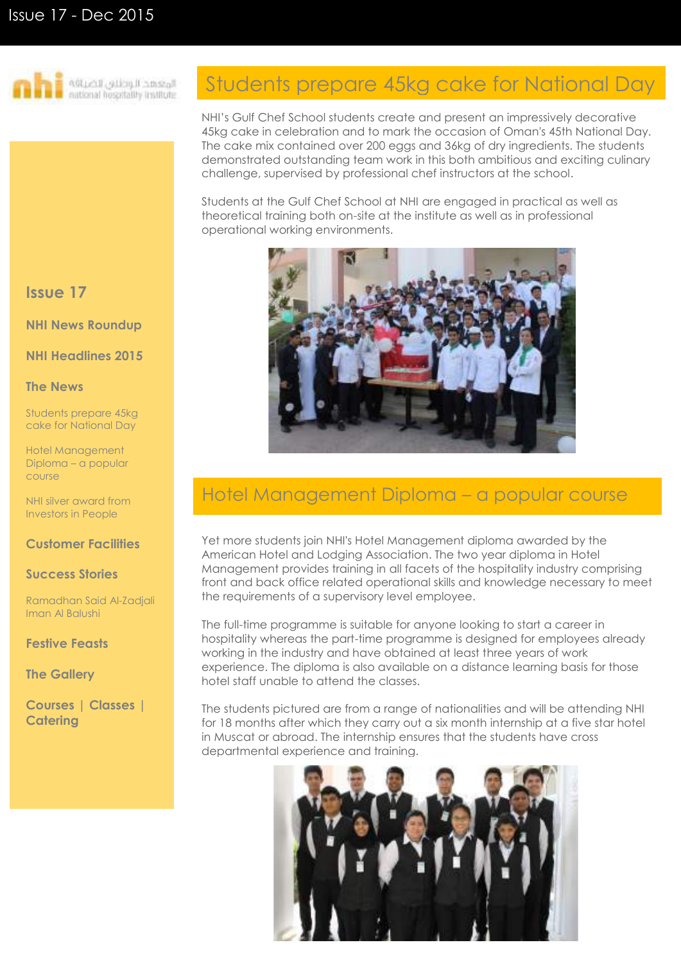

الوجعهد الريضاني لاضيافه<br>stimal hospitally institute

### **Issue 17**

**NHI News Roundup**

**NHI Headlines 2015**

#### **The News**

Students prepare 45kg cake for National Day

Hotel Management Diploma – a popular course

NHI silver award from Investors in People

#### **Customer Facilities**

#### **Success Stories**

Ramadhan Said Al-Zadjali Iman Al Balushi

**Festive Feasts**

**The Gallery**

**Courses | Classes | Catering**

## Students prepare 45kg cake for National Day

NHI's Gulf Chef School students create and present an impressively decorative 45kg cake in celebration and to mark the occasion of Oman's 45th National Day. The cake mix contained over 200 eggs and 36kg of dry ingredients. The students demonstrated outstanding team work in this both ambitious and exciting culinary challenge, supervised by professional chef instructors at the school.

Students at the Gulf Chef School at NHI are engaged in practical as well as theoretical training both on-site at the institute as well as in professional operational working environments.



## Hotel Management Diploma – a popular course

Yet more students join NHI's Hotel Management diploma awarded by the American Hotel and Lodging Association. The two year diploma in Hotel Management provides training in all facets of the hospitality industry comprising front and back office related operational skills and knowledge necessary to meet the requirements of a supervisory level employee.

The full-time programme is suitable for anyone looking to start a career in hospitality whereas the part-time programme is designed for employees already working in the industry and have obtained at least three years of work experience. The diploma is also available on a distance learning basis for those hotel staff unable to attend the classes.

The students pictured are from a range of nationalities and will be attending NHI for 18 months after which they carry out a six month internship at a five star hotel in Muscat or abroad. The internship ensures that the students have cross departmental experience and training.

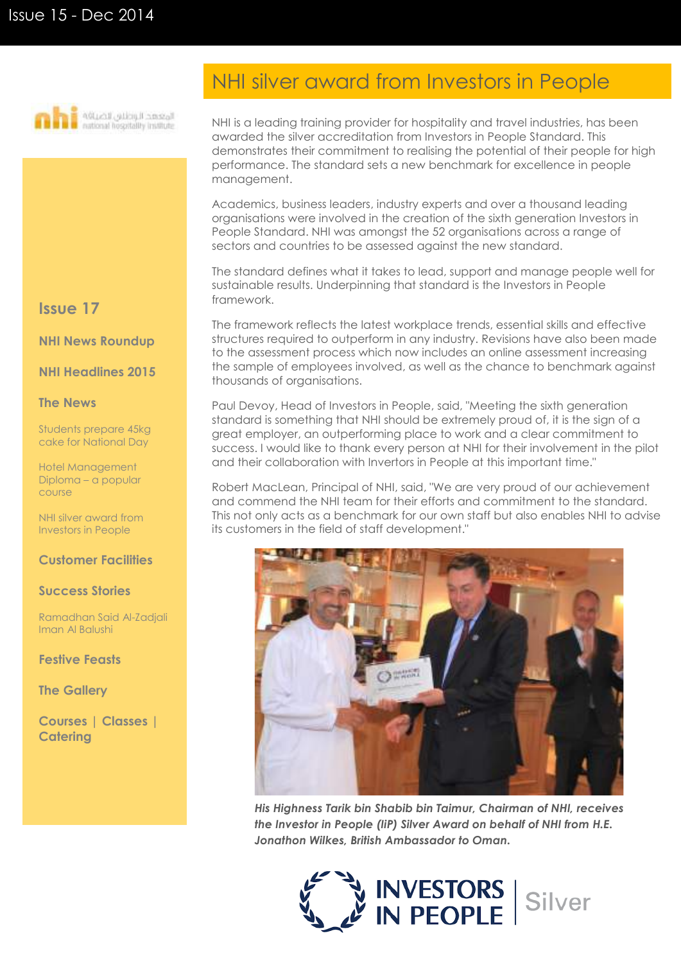

## NHI silver award from Investors in People

NHI is a leading training provider for hospitality and travel industries, has been awarded the silver accreditation from Investors in People Standard. This demonstrates their commitment to realising the potential of their people for high performance. The standard sets a new benchmark for excellence in people management.

Academics, business leaders, industry experts and over a thousand leading organisations were involved in the creation of the sixth generation Investors in People Standard. NHI was amongst the 52 organisations across a range of sectors and countries to be assessed against the new standard.

The standard defines what it takes to lead, support and manage people well for sustainable results. Underpinning that standard is the Investors in People framework.

The framework reflects the latest workplace trends, essential skills and effective structures required to outperform in any industry. Revisions have also been made to the assessment process which now includes an online assessment increasing the sample of employees involved, as well as the chance to benchmark against thousands of organisations.

Paul Devoy, Head of Investors in People, said, "Meeting the sixth generation standard is something that NHI should be extremely proud of, it is the sign of a great employer, an outperforming place to work and a clear commitment to success. I would like to thank every person at NHI for their involvement in the pilot and their collaboration with Invertors in People at this important time."

Robert MacLean, Principal of NHI, said, "We are very proud of our achievement and commend the NHI team for their efforts and commitment to the standard. This not only acts as a benchmark for our own staff but also enables NHI to advise its customers in the field of staff development."



*His Highness Tarik bin Shabib bin Taimur, Chairman of NHI, receives the Investor in People (IiP) Silver Award on behalf of NHI from H.E. Jonathon Wilkes, British Ambassador to Oman.*



#### **Issue 17**

**NHI News Roundup**

**NHI Headlines 2015**

#### **The News**

Students prepare 45kg cake for National Day

Hotel Management Diploma – a popular course

NHI silver award from Investors in People

#### **Customer Facilities**

#### **Success Stories**

Ramadhan Said Al-Zadjali Iman Al Balushi

**Festive Feasts**

**The Gallery**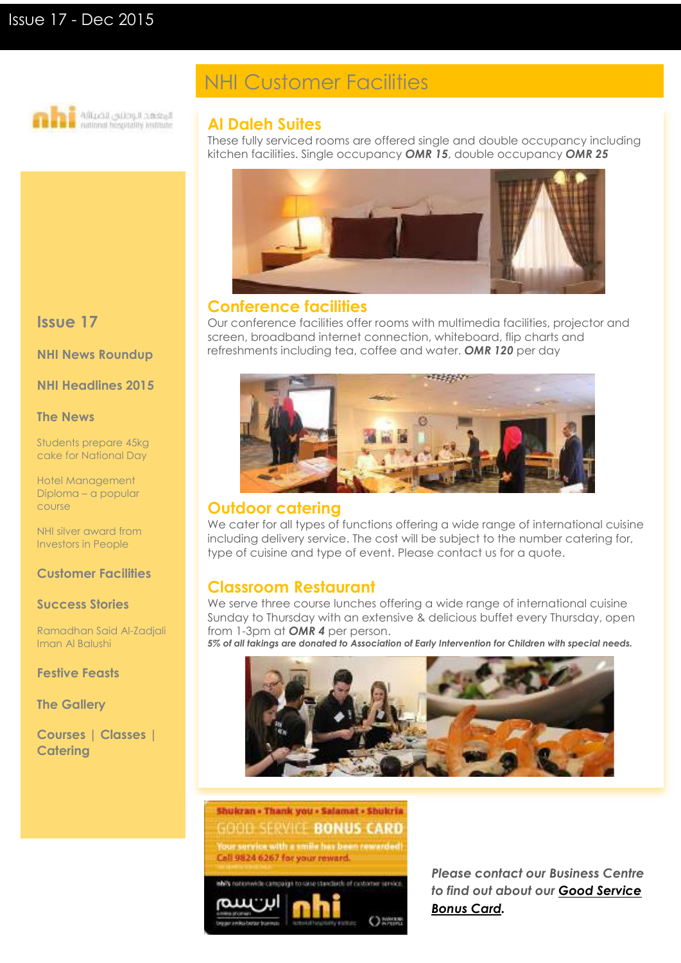

## NHI Customer Facilities

#### **Al Daleh Suites**

These fully serviced rooms are offered single and double occupancy including kitchen facilities. Single occupancy *OMR 15*, double occupancy *OMR 25*



#### **Conference facilities**

Our conference facilities offer rooms with multimedia facilities, projector and screen, broadband internet connection, whiteboard, flip charts and refreshments including tea, coffee and water. *OMR 120* per day



### **Outdoor catering**

We cater for all types of functions offering a wide range of international cuisine including delivery service. The cost will be subject to the number catering for, type of cuisine and type of event. Please contact us for a quote.

### **Classroom Restaurant**

We serve three course lunches offering a wide range of international cuisine Sunday to Thursday with an extensive & delicious buffet every Thursday, open from 1-3pm at *OMR 4* per person.

*5% of all takings are donated to Association of Early Intervention for Children with special needs.*





*Please contact our Business Centre to find out about our Good Service Bonus Card.*

### **Issue 17**

**NHI News Roundup**

**NHI Headlines 2015**

#### **The News**

Students prepare 45kg cake for National Day

Hotel Management Diploma – a popular course

NHI silver award from Investors in People

#### **Customer Facilities**

#### **Success Stories**

Ramadhan Said Al-Zadjali Iman Al Balushi

**Festive Feasts**

**The Gallery**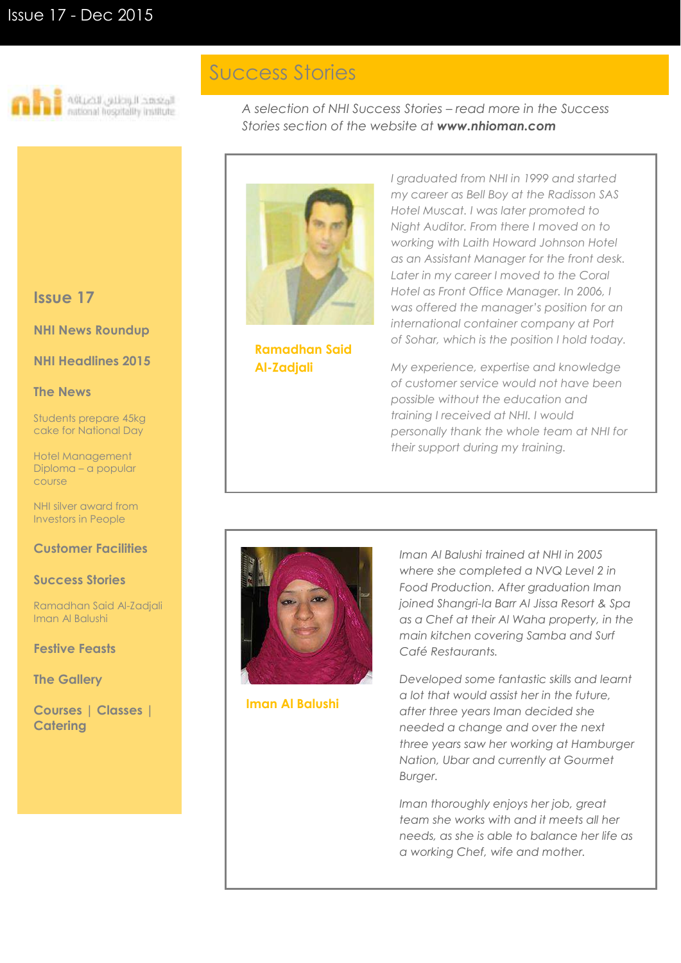

## Success Stories

*A selection of NHI Success Stories – read more in the Success Stories section of the website at www.nhioman.com*



**Ramadhan Said Al-Zadjali**

*I graduated from NHI in 1999 and started my career as Bell Boy at the Radisson SAS Hotel Muscat. I was later promoted to Night Auditor. From there I moved on to working with Laith Howard Johnson Hotel as an Assistant Manager for the front desk. Later in my career I moved to the Coral Hotel as Front Office Manager. In 2006, I was offered the manager's position for an international container company at Port of Sohar, which is the position I hold today.* 

*My experience, expertise and knowledge of customer service would not have been possible without the education and training I received at NHI. I would personally thank the whole team at NHI for their support during my training.*



**Iman Al Balushi**

*Iman Al Balushi trained at NHI in 2005 where she completed a NVQ Level 2 in Food Production. After graduation Iman joined Shangri-la Barr Al Jissa Resort & Spa as a Chef at their Al Waha property, in the main kitchen covering Samba and Surf Café Restaurants.* 

*Developed some fantastic skills and learnt a lot that would assist her in the future, after three years Iman decided she needed a change and over the next three years saw her working at Hamburger Nation, Ubar and currently at Gourmet Burger.* 

*Iman thoroughly enjoys her job, great team she works with and it meets all her needs, as she is able to balance her life as a working Chef, wife and mother.*

#### **Issue 17**

#### **NHI News Roundup**

#### **NHI Headlines 2015**

#### **The News**

Students prepare 45kg cake for National Day

Hotel Management Diploma – a popular course

NHI silver award from Investors in People

#### **Customer Facilities**

#### **Success Stories**

Ramadhan Said Al-Zadjali Iman Al Balushi

**Festive Feasts**

**The Gallery**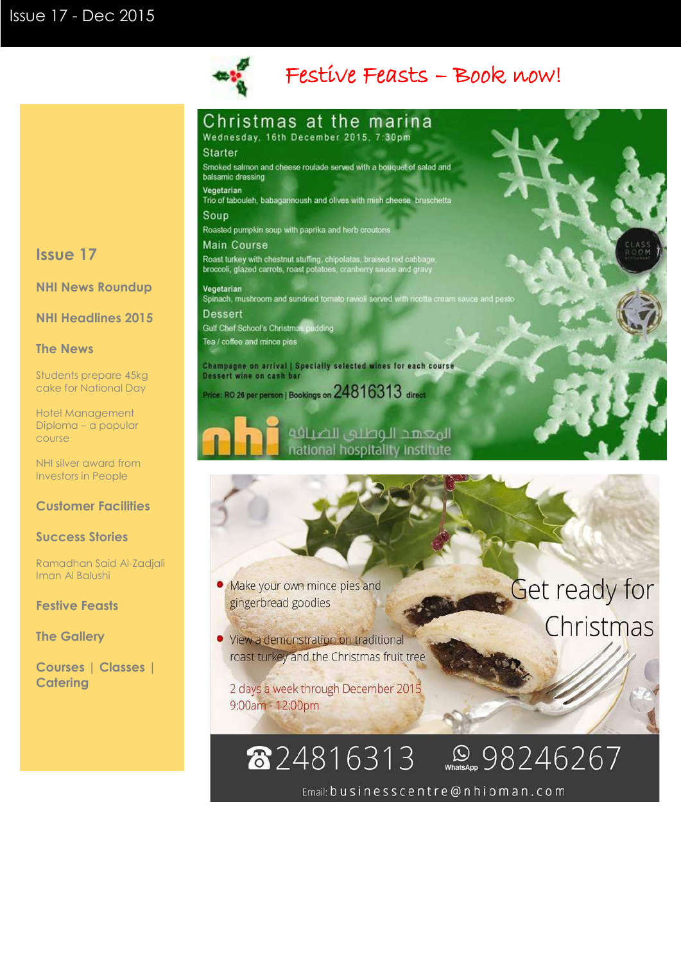

## Festive Feasts – Book now!

## Christmas at the marina

Wednesday, 16th December 2015, 7:30pm

#### **Starter**

Smoked salmon and cheese roulade served with a bouquet of salad and balsamic dressing

Vegetarian Trio of tabouleh, babagannoush and olives with mish cheese bruschetta

Soup

Roasted pumpkin soup with paprika and herb croutons

**Main Course** Roast turkey with chestnut stuffing, chipolatas, braised red cabbage,<br>broccoli, glazed carrots, roast potatoes, cranberry sauce and gravy

Vegetarian Spinach, mushroom and sundried tomato ravioli served with ricotta cream sauce and pesto **Dessert** Gulf Chef School's Christmas pudding

Tea / coffee and mince pies

Champagne on arrival | Specially selected wines for each course Dessert wine on cash bar Price: RO 26 per person | Bookings on 24816313 direct



الوعهد الوطني للضيافة national hospitality institute

#### • Make your own mince pies and gingerbread goodies

· View a demonstration on traditional roast turkey and the Christmas fruit tree

2 days a week through December 2015 9:00am - 12:00pm

## Get ready for Christmas

### Renace 98246267 824816313

Email: businesscentre@nhioman.com

### **Issue 17**

**NHI News Roundup**

**NHI Headlines 2015**

#### **The News**

Students prepare 45kg cake for National Day

Hotel Management Diploma – a popular course

NHI silver award from Investors in People

#### **Customer Facilities**

#### **Success Stories**

Ramadhan Said Al-Zadjali Iman Al Balushi

**Festive Feasts**

**The Gallery**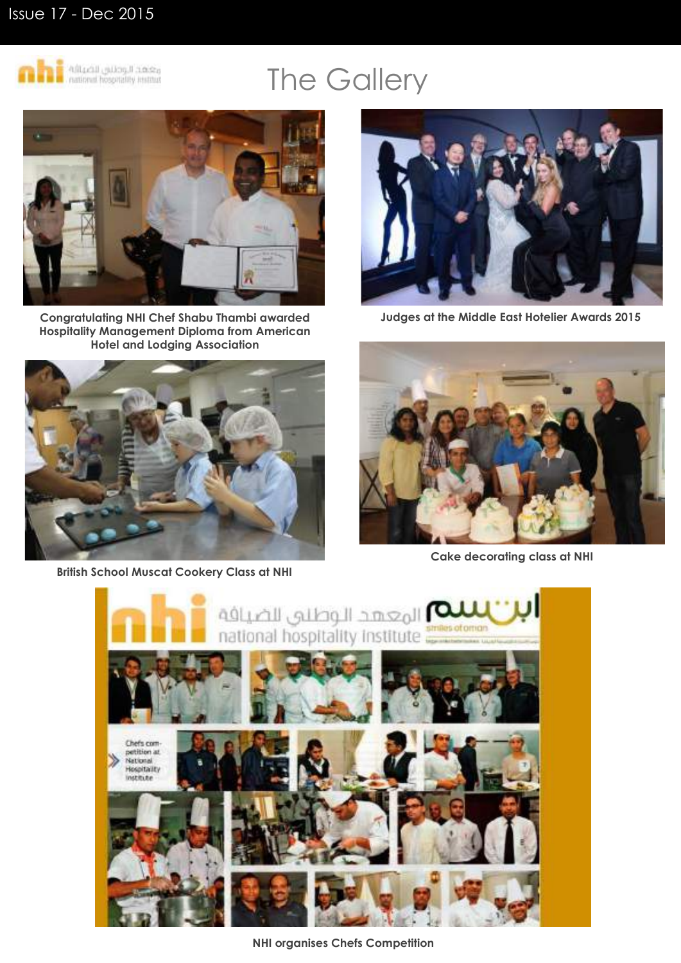## Issue 17 - Dec 2015



# The Gallery



**Congratulating NHI Chef Shabu Thambi awarded Hospitality Management Diploma from American Hotel and Lodging Association**



**British School Muscat Cookery Class at NHI**



**Judges at the Middle East Hotelier Awards 2015**



**Cake decorating class at NHI** 



**NHI organises Chefs Competition**